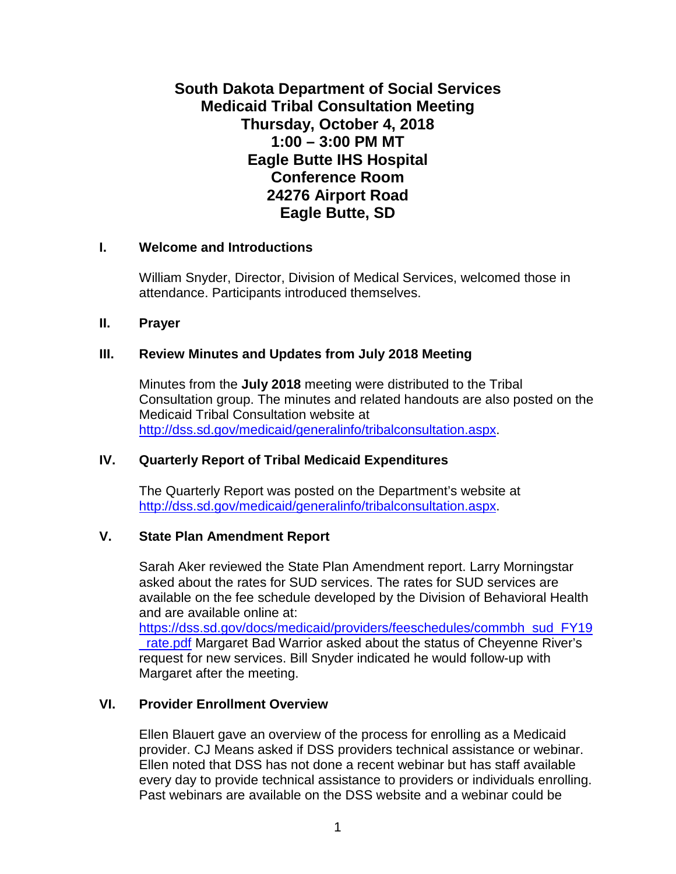# **South Dakota Department of Social Services Medicaid Tribal Consultation Meeting Thursday, October 4, 2018 1:00 – 3:00 PM MT Eagle Butte IHS Hospital Conference Room 24276 Airport Road Eagle Butte, SD**

## **I. Welcome and Introductions**

William Snyder, Director, Division of Medical Services, welcomed those in attendance. Participants introduced themselves.

#### **II. Prayer**

## **III. Review Minutes and Updates from July 2018 Meeting**

Minutes from the **July 2018** meeting were distributed to the Tribal Consultation group. The minutes and related handouts are also posted on the Medicaid Tribal Consultation website at [http://dss.sd.gov/medicaid/generalinfo/tribalconsultation.aspx.](http://dss.sd.gov/medicaid/generalinfo/tribalconsultation.aspx)

## **IV. Quarterly Report of Tribal Medicaid Expenditures**

The Quarterly Report was posted on the Department's website at [http://dss.sd.gov/medicaid/generalinfo/tribalconsultation.aspx.](http://dss.sd.gov/medicaid/generalinfo/tribalconsultation.aspx)

## **V. State Plan Amendment Report**

Sarah Aker reviewed the State Plan Amendment report. Larry Morningstar asked about the rates for SUD services. The rates for SUD services are available on the fee schedule developed by the Division of Behavioral Health and are available online at:

[https://dss.sd.gov/docs/medicaid/providers/feeschedules/commbh\\_sud\\_FY19](https://dss.sd.gov/docs/medicaid/providers/feeschedules/commbh_sud_FY19_rate.pdf) [\\_rate.pdf](https://dss.sd.gov/docs/medicaid/providers/feeschedules/commbh_sud_FY19_rate.pdf) Margaret Bad Warrior asked about the status of Cheyenne River's request for new services. Bill Snyder indicated he would follow-up with Margaret after the meeting.

## **VI. Provider Enrollment Overview**

Ellen Blauert gave an overview of the process for enrolling as a Medicaid provider. CJ Means asked if DSS providers technical assistance or webinar. Ellen noted that DSS has not done a recent webinar but has staff available every day to provide technical assistance to providers or individuals enrolling. Past webinars are available on the DSS website and a webinar could be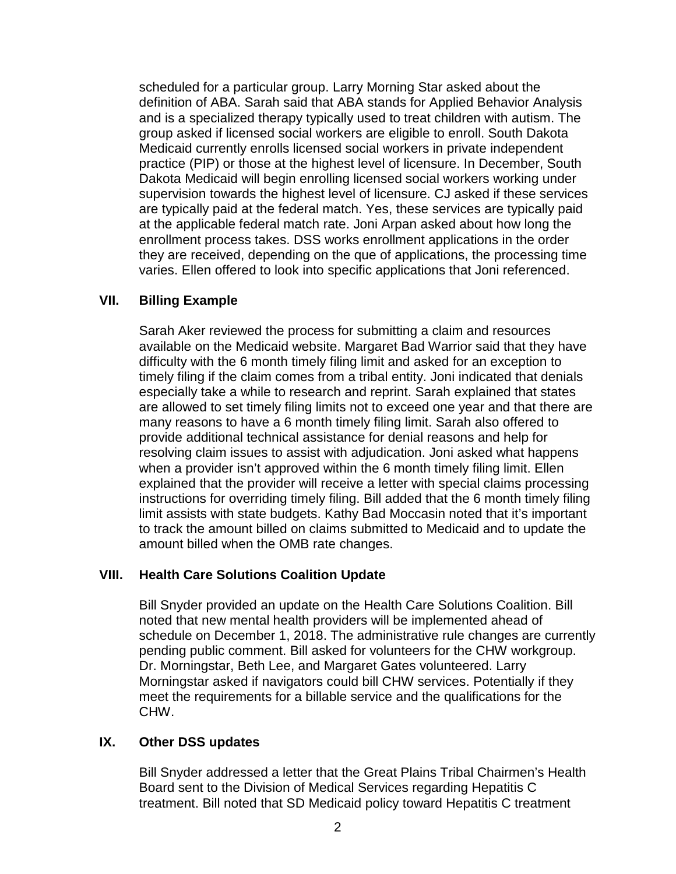scheduled for a particular group. Larry Morning Star asked about the definition of ABA. Sarah said that ABA stands for Applied Behavior Analysis and is a specialized therapy typically used to treat children with autism. The group asked if licensed social workers are eligible to enroll. South Dakota Medicaid currently enrolls licensed social workers in private independent practice (PIP) or those at the highest level of licensure. In December, South Dakota Medicaid will begin enrolling licensed social workers working under supervision towards the highest level of licensure. CJ asked if these services are typically paid at the federal match. Yes, these services are typically paid at the applicable federal match rate. Joni Arpan asked about how long the enrollment process takes. DSS works enrollment applications in the order they are received, depending on the que of applications, the processing time varies. Ellen offered to look into specific applications that Joni referenced.

## **VII. Billing Example**

Sarah Aker reviewed the process for submitting a claim and resources available on the Medicaid website. Margaret Bad Warrior said that they have difficulty with the 6 month timely filing limit and asked for an exception to timely filing if the claim comes from a tribal entity. Joni indicated that denials especially take a while to research and reprint. Sarah explained that states are allowed to set timely filing limits not to exceed one year and that there are many reasons to have a 6 month timely filing limit. Sarah also offered to provide additional technical assistance for denial reasons and help for resolving claim issues to assist with adjudication. Joni asked what happens when a provider isn't approved within the 6 month timely filing limit. Ellen explained that the provider will receive a letter with special claims processing instructions for overriding timely filing. Bill added that the 6 month timely filing limit assists with state budgets. Kathy Bad Moccasin noted that it's important to track the amount billed on claims submitted to Medicaid and to update the amount billed when the OMB rate changes.

## **VIII. Health Care Solutions Coalition Update**

Bill Snyder provided an update on the Health Care Solutions Coalition. Bill noted that new mental health providers will be implemented ahead of schedule on December 1, 2018. The administrative rule changes are currently pending public comment. Bill asked for volunteers for the CHW workgroup. Dr. Morningstar, Beth Lee, and Margaret Gates volunteered. Larry Morningstar asked if navigators could bill CHW services. Potentially if they meet the requirements for a billable service and the qualifications for the CHW.

# **IX. Other DSS updates**

Bill Snyder addressed a letter that the Great Plains Tribal Chairmen's Health Board sent to the Division of Medical Services regarding Hepatitis C treatment. Bill noted that SD Medicaid policy toward Hepatitis C treatment